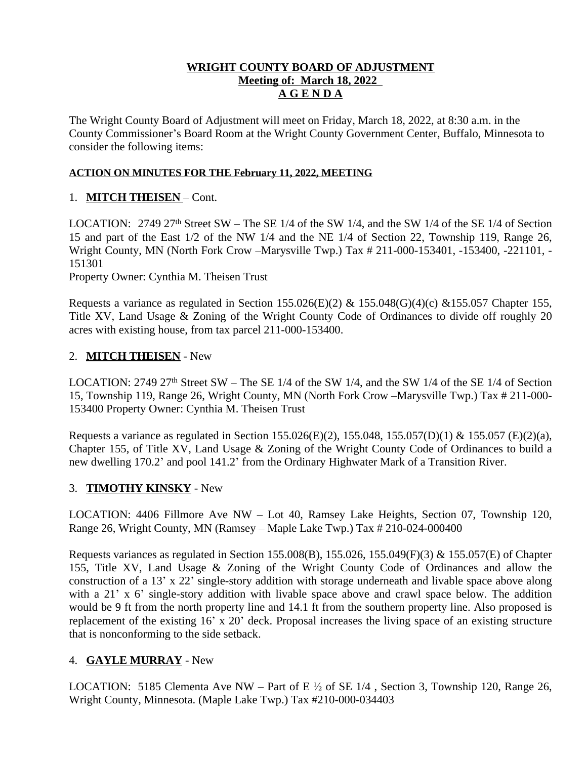#### **WRIGHT COUNTY BOARD OF ADJUSTMENT Meeting of: March 18, 2022 A G E N D A**

The Wright County Board of Adjustment will meet on Friday, March 18, 2022, at 8:30 a.m. in the County Commissioner's Board Room at the Wright County Government Center, Buffalo, Minnesota to consider the following items:

#### **ACTION ON MINUTES FOR THE February 11, 2022, MEETING**

## 1. **MITCH THEISEN** – Cont.

LOCATION:  $2749\,27<sup>th</sup>$  Street SW – The SE 1/4 of the SW 1/4, and the SW 1/4 of the SE 1/4 of Section 15 and part of the East 1/2 of the NW 1/4 and the NE 1/4 of Section 22, Township 119, Range 26, Wright County, MN (North Fork Crow –Marysville Twp.) Tax # 211-000-153401, -153400, -221101, - 151301

Property Owner: Cynthia M. Theisen Trust

Requests a variance as regulated in Section 155.026(E)(2) & 155.048(G)(4)(c) & 155.057 Chapter 155, Title XV, Land Usage & Zoning of the Wright County Code of Ordinances to divide off roughly 20 acres with existing house, from tax parcel 211-000-153400.

## 2. **MITCH THEISEN** - New

LOCATION:  $2749\ 27$ <sup>th</sup> Street SW – The SE 1/4 of the SW 1/4, and the SW 1/4 of the SE 1/4 of Section 15, Township 119, Range 26, Wright County, MN (North Fork Crow –Marysville Twp.) Tax # 211-000- 153400 Property Owner: Cynthia M. Theisen Trust

Requests a variance as regulated in Section 155.026(E)(2), 155.048, 155.057(D)(1) & 155.057 (E)(2)(a), Chapter 155, of Title XV, Land Usage & Zoning of the Wright County Code of Ordinances to build a new dwelling 170.2' and pool 141.2' from the Ordinary Highwater Mark of a Transition River.

## 3. **TIMOTHY KINSKY** - New

LOCATION: 4406 Fillmore Ave NW – Lot 40, Ramsey Lake Heights, Section 07, Township 120, Range 26, Wright County, MN (Ramsey – Maple Lake Twp.) Tax # 210-024-000400

Requests variances as regulated in Section 155.008(B), 155.026, 155.049(F)(3) & 155.057(E) of Chapter 155, Title XV, Land Usage & Zoning of the Wright County Code of Ordinances and allow the construction of a 13' x 22' single-story addition with storage underneath and livable space above along with a 21' x 6' single-story addition with livable space above and crawl space below. The addition would be 9 ft from the north property line and 14.1 ft from the southern property line. Also proposed is replacement of the existing 16' x 20' deck. Proposal increases the living space of an existing structure that is nonconforming to the side setback.

## 4. **GAYLE MURRAY** - New

LOCATION: 5185 Clementa Ave NW – Part of E  $\frac{1}{2}$  of SE 1/4, Section 3, Township 120, Range 26, Wright County, Minnesota. (Maple Lake Twp.) Tax #210-000-034403